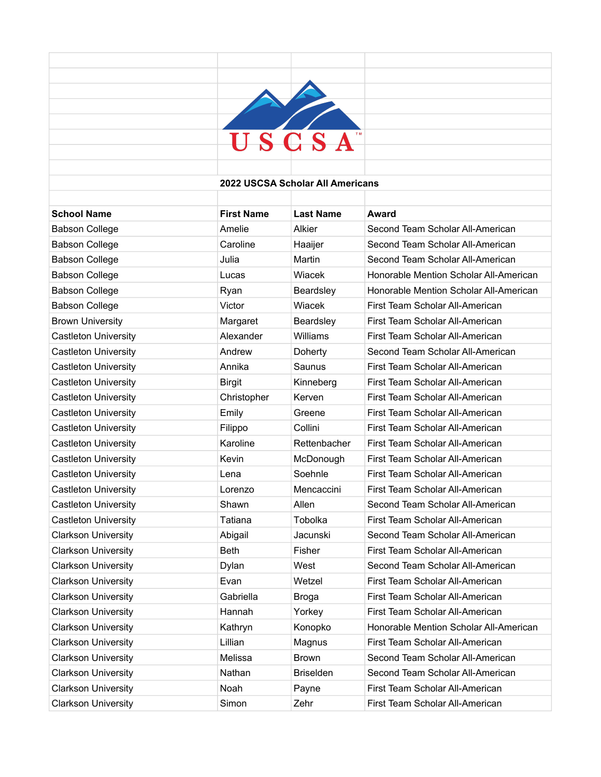

## **2022 USCSA Scholar All Americans**

| <b>School Name</b>          | <b>First Name</b> | <b>Last Name</b> | Award                                  |
|-----------------------------|-------------------|------------------|----------------------------------------|
| <b>Babson College</b>       | Amelie            | Alkier           | Second Team Scholar All-American       |
| <b>Babson College</b>       | Caroline          | Haaijer          | Second Team Scholar All-American       |
| <b>Babson College</b>       | Julia             | Martin           | Second Team Scholar All-American       |
| <b>Babson College</b>       | Lucas             | Wiacek           | Honorable Mention Scholar All-American |
| <b>Babson College</b>       | Ryan              | Beardsley        | Honorable Mention Scholar All-American |
| <b>Babson College</b>       | Victor            | Wiacek           | First Team Scholar All-American        |
| <b>Brown University</b>     | Margaret          | Beardsley        | First Team Scholar All-American        |
| <b>Castleton University</b> | Alexander         | Williams         | First Team Scholar All-American        |
| <b>Castleton University</b> | Andrew            | Doherty          | Second Team Scholar All-American       |
| <b>Castleton University</b> | Annika            | Saunus           | First Team Scholar All-American        |
| <b>Castleton University</b> | <b>Birgit</b>     | Kinneberg        | First Team Scholar All-American        |
| <b>Castleton University</b> | Christopher       | Kerven           | First Team Scholar All-American        |
| <b>Castleton University</b> | Emily             | Greene           | First Team Scholar All-American        |
| Castleton University        | Filippo           | Collini          | First Team Scholar All-American        |
| <b>Castleton University</b> | Karoline          | Rettenbacher     | First Team Scholar All-American        |
| <b>Castleton University</b> | Kevin             | McDonough        | First Team Scholar All-American        |
| Castleton University        | Lena              | Soehnle          | First Team Scholar All-American        |
| <b>Castleton University</b> | Lorenzo           | Mencaccini       | First Team Scholar All-American        |
| <b>Castleton University</b> | Shawn             | Allen            | Second Team Scholar All-American       |
| <b>Castleton University</b> | Tatiana           | Tobolka          | First Team Scholar All-American        |
| <b>Clarkson University</b>  | Abigail           | Jacunski         | Second Team Scholar All-American       |
| <b>Clarkson University</b>  | <b>Beth</b>       | Fisher           | First Team Scholar All-American        |
| <b>Clarkson University</b>  | Dylan             | West             | Second Team Scholar All-American       |
| <b>Clarkson University</b>  | Evan              | Wetzel           | First Team Scholar All-American        |
| <b>Clarkson University</b>  | Gabriella         | Broga            | First Team Scholar All-American        |
| <b>Clarkson University</b>  | Hannah            | Yorkey           | First Team Scholar All-American        |
| <b>Clarkson University</b>  | Kathryn           | Konopko          | Honorable Mention Scholar All-American |
| <b>Clarkson University</b>  | Lillian           | Magnus           | First Team Scholar All-American        |
| <b>Clarkson University</b>  | Melissa           | <b>Brown</b>     | Second Team Scholar All-American       |
| <b>Clarkson University</b>  | Nathan            | <b>Briselden</b> | Second Team Scholar All-American       |
| <b>Clarkson University</b>  | Noah              | Payne            | First Team Scholar All-American        |
| Clarkson Universitv         | Simon             | Zehr             | First Team Scholar All-American        |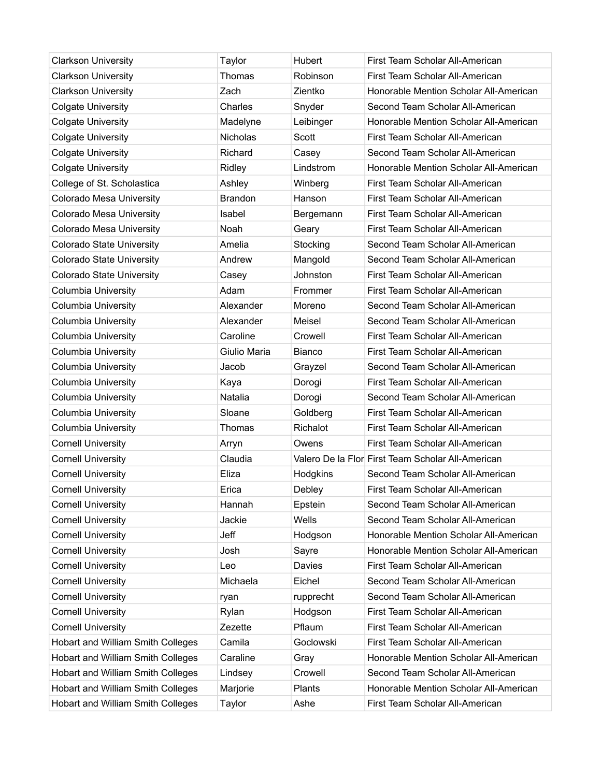| <b>Clarkson University</b>               | Taylor         | <b>Hubert</b> | First Team Scholar All-American                   |
|------------------------------------------|----------------|---------------|---------------------------------------------------|
| <b>Clarkson University</b>               | Thomas         | Robinson      | First Team Scholar All-American                   |
| <b>Clarkson University</b>               | Zach           | Zientko       | Honorable Mention Scholar All-American            |
| <b>Colgate University</b>                | Charles        | Snyder        | Second Team Scholar All-American                  |
| <b>Colgate University</b>                | Madelyne       | Leibinger     | Honorable Mention Scholar All-American            |
| <b>Colgate University</b>                | Nicholas       | Scott         | First Team Scholar All-American                   |
| <b>Colgate University</b>                | Richard        | Casey         | Second Team Scholar All-American                  |
| <b>Colgate University</b>                | Ridley         | Lindstrom     | Honorable Mention Scholar All-American            |
| College of St. Scholastica               | Ashley         | Winberg       | First Team Scholar All-American                   |
| Colorado Mesa University                 | <b>Brandon</b> | Hanson        | First Team Scholar All-American                   |
| Colorado Mesa University                 | Isabel         | Bergemann     | First Team Scholar All-American                   |
| Colorado Mesa University                 | Noah           | Geary         | First Team Scholar All-American                   |
| <b>Colorado State University</b>         | Amelia         | Stocking      | Second Team Scholar All-American                  |
| Colorado State University                | Andrew         | Mangold       | Second Team Scholar All-American                  |
| Colorado State University                | Casey          | Johnston      | First Team Scholar All-American                   |
| <b>Columbia University</b>               | Adam           | Frommer       | First Team Scholar All-American                   |
| <b>Columbia University</b>               | Alexander      | Moreno        | Second Team Scholar All-American                  |
| <b>Columbia University</b>               | Alexander      | Meisel        | Second Team Scholar All-American                  |
| <b>Columbia University</b>               | Caroline       | Crowell       | First Team Scholar All-American                   |
| Columbia University                      | Giulio Maria   | <b>Bianco</b> | First Team Scholar All-American                   |
| <b>Columbia University</b>               | Jacob          | Grayzel       | Second Team Scholar All-American                  |
| <b>Columbia University</b>               | Kaya           | Dorogi        | First Team Scholar All-American                   |
| Columbia University                      | Natalia        | Dorogi        | Second Team Scholar All-American                  |
| <b>Columbia University</b>               | Sloane         | Goldberg      | First Team Scholar All-American                   |
| <b>Columbia University</b>               | Thomas         | Richalot      | First Team Scholar All-American                   |
| <b>Cornell University</b>                | Arryn          | Owens         | First Team Scholar All-American                   |
| <b>Cornell University</b>                | Claudia        |               | Valero De la Flor First Team Scholar All-American |
| <b>Cornell University</b>                | Eliza          | Hodgkins      | Second Team Scholar All-American                  |
| <b>Cornell University</b>                | Erica          | Debley        | First Team Scholar All-American                   |
| <b>Cornell University</b>                | Hannah         | Epstein       | Second Team Scholar All-American                  |
| <b>Cornell University</b>                | Jackie         | Wells         | Second Team Scholar All-American                  |
| <b>Cornell University</b>                | Jeff           | Hodgson       | Honorable Mention Scholar All-American            |
| <b>Cornell University</b>                | Josh           | Sayre         | Honorable Mention Scholar All-American            |
| <b>Cornell University</b>                | Leo            | Davies        | First Team Scholar All-American                   |
| <b>Cornell University</b>                | Michaela       | Eichel        | Second Team Scholar All-American                  |
| <b>Cornell University</b>                | ryan           | rupprecht     | Second Team Scholar All-American                  |
| <b>Cornell University</b>                | Rylan          | Hodgson       | First Team Scholar All-American                   |
| <b>Cornell University</b>                | Zezette        | Pflaum        | First Team Scholar All-American                   |
| <b>Hobart and William Smith Colleges</b> | Camila         | Goclowski     | First Team Scholar All-American                   |
| Hobart and William Smith Colleges        | Caraline       | Gray          | Honorable Mention Scholar All-American            |
| Hobart and William Smith Colleges        | Lindsey        | Crowell       | Second Team Scholar All-American                  |
| Hobart and William Smith Colleges        | Marjorie       | Plants        | Honorable Mention Scholar All-American            |
| Hobart and William Smith Colleges        | Taylor         | Ashe          | First Team Scholar All-American                   |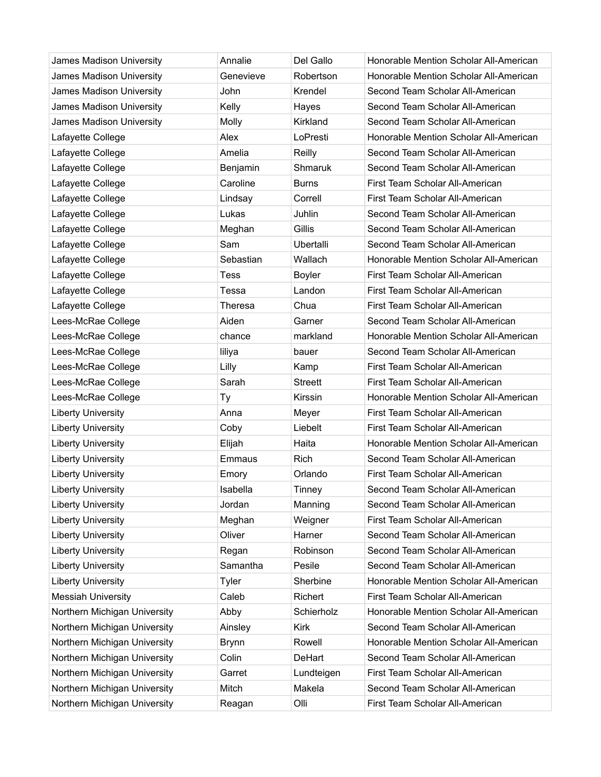| James Madison University     | Annalie      | Del Gallo        | Honorable Mention Scholar All-American |
|------------------------------|--------------|------------------|----------------------------------------|
| James Madison University     | Genevieve    | Robertson        | Honorable Mention Scholar All-American |
| James Madison University     | John         | Krendel          | Second Team Scholar All-American       |
| James Madison University     | Kelly        | Hayes            | Second Team Scholar All-American       |
| James Madison University     | Molly        | Kirkland         | Second Team Scholar All-American       |
| Lafayette College            | Alex         | LoPresti         | Honorable Mention Scholar All-American |
| Lafayette College            | Amelia       | Reilly           | Second Team Scholar All-American       |
| Lafayette College            | Benjamin     | Shmaruk          | Second Team Scholar All-American       |
| Lafayette College            | Caroline     | <b>Burns</b>     | First Team Scholar All-American        |
| Lafayette College            | Lindsay      | Correll          | First Team Scholar All-American        |
| Lafayette College            | Lukas        | Juhlin           | Second Team Scholar All-American       |
| Lafayette College            | Meghan       | Gillis           | Second Team Scholar All-American       |
| Lafayette College            | Sam          | <b>Ubertalli</b> | Second Team Scholar All-American       |
| Lafayette College            | Sebastian    | Wallach          | Honorable Mention Scholar All-American |
| Lafayette College            | <b>Tess</b>  | Boyler           | First Team Scholar All-American        |
| Lafayette College            | Tessa        | Landon           | First Team Scholar All-American        |
| Lafayette College            | Theresa      | Chua             | First Team Scholar All-American        |
| Lees-McRae College           | Aiden        | Garner           | Second Team Scholar All-American       |
| Lees-McRae College           | chance       | markland         | Honorable Mention Scholar All-American |
| Lees-McRae College           | liliya       | bauer            | Second Team Scholar All-American       |
| Lees-McRae College           | Lilly        | Kamp             | First Team Scholar All-American        |
| Lees-McRae College           | Sarah        | <b>Streett</b>   | First Team Scholar All-American        |
| Lees-McRae College           | Ty           | Kirssin          | Honorable Mention Scholar All-American |
| <b>Liberty University</b>    | Anna         | Meyer            | First Team Scholar All-American        |
| <b>Liberty University</b>    | Coby         | Liebelt          | First Team Scholar All-American        |
| <b>Liberty University</b>    | Elijah       | Haita            | Honorable Mention Scholar All-American |
| <b>Liberty University</b>    | Emmaus       | Rich             | Second Team Scholar All-American       |
| <b>Liberty University</b>    | Emory        | Orlando          | First Team Scholar All-American        |
| <b>Liberty University</b>    | Isabella     | Tinney           | Second Team Scholar All-American       |
| <b>Liberty University</b>    | Jordan       | Manning          | Second Team Scholar All-American       |
| <b>Liberty University</b>    | Meghan       | Weigner          | First Team Scholar All-American        |
| <b>Liberty University</b>    | Oliver       | Harner           | Second Team Scholar All-American       |
| <b>Liberty University</b>    | Regan        | Robinson         | Second Team Scholar All-American       |
| <b>Liberty University</b>    | Samantha     | Pesile           | Second Team Scholar All-American       |
| <b>Liberty University</b>    | Tyler        | Sherbine         | Honorable Mention Scholar All-American |
| <b>Messiah University</b>    | Caleb        | Richert          | First Team Scholar All-American        |
| Northern Michigan University | Abby         | Schierholz       | Honorable Mention Scholar All-American |
| Northern Michigan University | Ainsley      | <b>Kirk</b>      | Second Team Scholar All-American       |
| Northern Michigan University | <b>Brynn</b> | Rowell           | Honorable Mention Scholar All-American |
| Northern Michigan University | Colin        | DeHart           | Second Team Scholar All-American       |
| Northern Michigan University | Garret       | Lundteigen       | First Team Scholar All-American        |
| Northern Michigan University | Mitch        | Makela           | Second Team Scholar All-American       |
| Northern Michigan University | Reagan       | Olli             | First Team Scholar All-American        |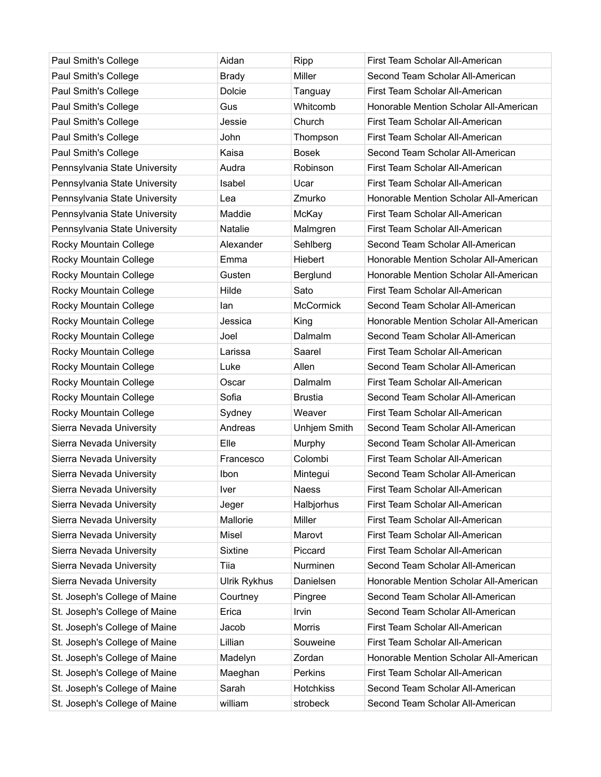| Paul Smith's College          | Aidan          | Ripp             | First Team Scholar All-American        |
|-------------------------------|----------------|------------------|----------------------------------------|
| Paul Smith's College          | <b>Brady</b>   | Miller           | Second Team Scholar All-American       |
| Paul Smith's College          | <b>Dolcie</b>  | Tanguay          | First Team Scholar All-American        |
| Paul Smith's College          | Gus            | Whitcomb         | Honorable Mention Scholar All-American |
| Paul Smith's College          | Jessie         | Church           | First Team Scholar All-American        |
| Paul Smith's College          | John           | Thompson         | First Team Scholar All-American        |
| Paul Smith's College          | Kaisa          | <b>Bosek</b>     | Second Team Scholar All-American       |
| Pennsylvania State University | Audra          | Robinson         | First Team Scholar All-American        |
| Pennsylvania State University | Isabel         | Ucar             | First Team Scholar All-American        |
| Pennsylvania State University | Lea            | Zmurko           | Honorable Mention Scholar All-American |
| Pennsylvania State University | Maddie         | McKay            | First Team Scholar All-American        |
| Pennsylvania State University | <b>Natalie</b> | Malmgren         | First Team Scholar All-American        |
| Rocky Mountain College        | Alexander      | Sehlberg         | Second Team Scholar All-American       |
| Rocky Mountain College        | Emma           | Hiebert          | Honorable Mention Scholar All-American |
| Rocky Mountain College        | Gusten         | Berglund         | Honorable Mention Scholar All-American |
| Rocky Mountain College        | Hilde          | Sato             | First Team Scholar All-American        |
| Rocky Mountain College        | lan            | <b>McCormick</b> | Second Team Scholar All-American       |
| Rocky Mountain College        | Jessica        | King             | Honorable Mention Scholar All-American |
| Rocky Mountain College        | Joel           | Dalmalm          | Second Team Scholar All-American       |
| Rocky Mountain College        | Larissa        | Saarel           | First Team Scholar All-American        |
| Rocky Mountain College        | Luke           | Allen            | Second Team Scholar All-American       |
| Rocky Mountain College        | Oscar          | Dalmalm          | First Team Scholar All-American        |
| Rocky Mountain College        | Sofia          | <b>Brustia</b>   | Second Team Scholar All-American       |
| Rocky Mountain College        | Sydney         | Weaver           | First Team Scholar All-American        |
| Sierra Nevada University      | Andreas        | Unhjem Smith     | Second Team Scholar All-American       |
| Sierra Nevada University      | Elle           | Murphy           | Second Team Scholar All-American       |
| Sierra Nevada University      | Francesco      | Colombi          | First Team Scholar All-American        |
| Sierra Nevada University      | Ibon           | Mintegui         | Second Team Scholar All-American       |
| Sierra Nevada University      | Iver           | Naess            | First Team Scholar All-American        |
| Sierra Nevada University      | Jeger          | Halbjorhus       | First Team Scholar All-American        |
| Sierra Nevada University      | Mallorie       | Miller           | First Team Scholar All-American        |
| Sierra Nevada University      | <b>Misel</b>   | Marovt           | First Team Scholar All-American        |
| Sierra Nevada University      | <b>Sixtine</b> | Piccard          | First Team Scholar All-American        |
| Sierra Nevada University      | Tiia           | Nurminen         | Second Team Scholar All-American       |
| Sierra Nevada University      | Ulrik Rykhus   | Danielsen        | Honorable Mention Scholar All-American |
| St. Joseph's College of Maine | Courtney       | Pingree          | Second Team Scholar All-American       |
| St. Joseph's College of Maine | Erica          | Irvin            | Second Team Scholar All-American       |
| St. Joseph's College of Maine | Jacob          | <b>Morris</b>    | First Team Scholar All-American        |
| St. Joseph's College of Maine | Lillian        | Souweine         | First Team Scholar All-American        |
| St. Joseph's College of Maine | Madelyn        | Zordan           | Honorable Mention Scholar All-American |
| St. Joseph's College of Maine | Maeghan        | Perkins          | First Team Scholar All-American        |
| St. Joseph's College of Maine | Sarah          | <b>Hotchkiss</b> | Second Team Scholar All-American       |
| St. Joseph's College of Maine | william        | strobeck         | Second Team Scholar All-American       |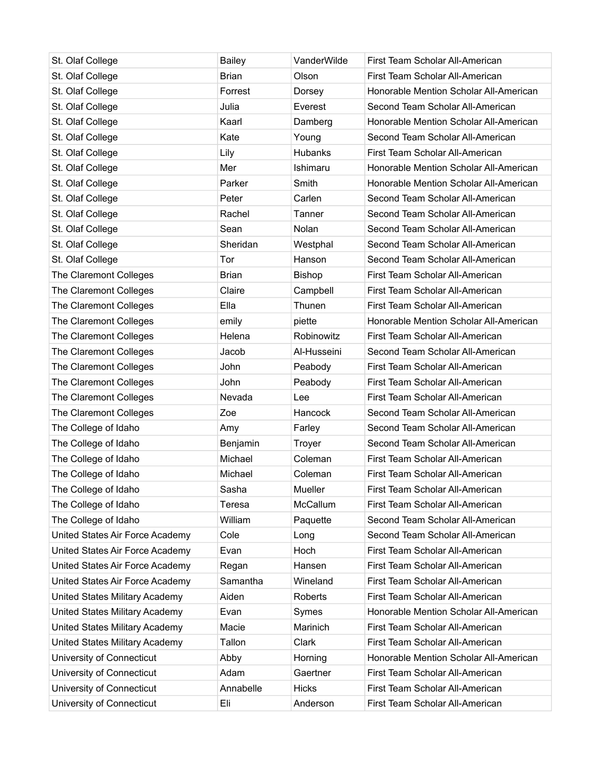| St. Olaf College                | <b>Bailey</b> | VanderWilde    | First Team Scholar All-American        |
|---------------------------------|---------------|----------------|----------------------------------------|
| St. Olaf College                | <b>Brian</b>  | Olson          | First Team Scholar All-American        |
| St. Olaf College                | Forrest       | Dorsey         | Honorable Mention Scholar All-American |
| St. Olaf College                | Julia         | Everest        | Second Team Scholar All-American       |
| St. Olaf College                | Kaarl         | Damberg        | Honorable Mention Scholar All-American |
| St. Olaf College                | Kate          | Young          | Second Team Scholar All-American       |
| St. Olaf College                | Lily          | <b>Hubanks</b> | First Team Scholar All-American        |
| St. Olaf College                | Mer           | Ishimaru       | Honorable Mention Scholar All-American |
| St. Olaf College                | Parker        | Smith          | Honorable Mention Scholar All-American |
| St. Olaf College                | Peter         | Carlen         | Second Team Scholar All-American       |
| St. Olaf College                | Rachel        | Tanner         | Second Team Scholar All-American       |
| St. Olaf College                | Sean          | Nolan          | Second Team Scholar All-American       |
| St. Olaf College                | Sheridan      | Westphal       | Second Team Scholar All-American       |
| St. Olaf College                | Tor           | Hanson         | Second Team Scholar All-American       |
| The Claremont Colleges          | <b>Brian</b>  | <b>Bishop</b>  | First Team Scholar All-American        |
| The Claremont Colleges          | Claire        | Campbell       | First Team Scholar All-American        |
| The Claremont Colleges          | Ella          | Thunen         | First Team Scholar All-American        |
| The Claremont Colleges          | emily         | piette         | Honorable Mention Scholar All-American |
| The Claremont Colleges          | Helena        | Robinowitz     | First Team Scholar All-American        |
| The Claremont Colleges          | Jacob         | Al-Husseini    | Second Team Scholar All-American       |
| The Claremont Colleges          | John          | Peabody        | First Team Scholar All-American        |
| The Claremont Colleges          | John          | Peabody        | First Team Scholar All-American        |
| The Claremont Colleges          | Nevada        | Lee            | First Team Scholar All-American        |
| The Claremont Colleges          | Zoe           | Hancock        | Second Team Scholar All-American       |
| The College of Idaho            | Amy           | Farley         | Second Team Scholar All-American       |
| The College of Idaho            | Benjamin      | Troyer         | Second Team Scholar All-American       |
| The College of Idaho            | Michael       | Coleman        | First Team Scholar All-American        |
| The College of Idaho            | Michael       | Coleman        | First Team Scholar All-American        |
| The College of Idaho            | Sasha         | Mueller        | First Team Scholar All-American        |
| The College of Idaho            | Teresa        | McCallum       | First Team Scholar All-American        |
| The College of Idaho            | William       | Paquette       | Second Team Scholar All-American       |
| United States Air Force Academy | Cole          | Long           | Second Team Scholar All-American       |
| United States Air Force Academy | Evan          | Hoch           | First Team Scholar All-American        |
| United States Air Force Academy | Regan         | Hansen         | First Team Scholar All-American        |
| United States Air Force Academy | Samantha      | Wineland       | First Team Scholar All-American        |
| United States Military Academy  | Aiden         | Roberts        | First Team Scholar All-American        |
| United States Military Academy  | Evan          | Symes          | Honorable Mention Scholar All-American |
| United States Military Academy  | Macie         | Marinich       | First Team Scholar All-American        |
| United States Military Academy  | Tallon        | Clark          | First Team Scholar All-American        |
| University of Connecticut       | Abby          | Horning        | Honorable Mention Scholar All-American |
| University of Connecticut       | Adam          | Gaertner       | First Team Scholar All-American        |
| University of Connecticut       | Annabelle     | Hicks          | First Team Scholar All-American        |
| University of Connecticut       | Eli           | Anderson       | First Team Scholar All-American        |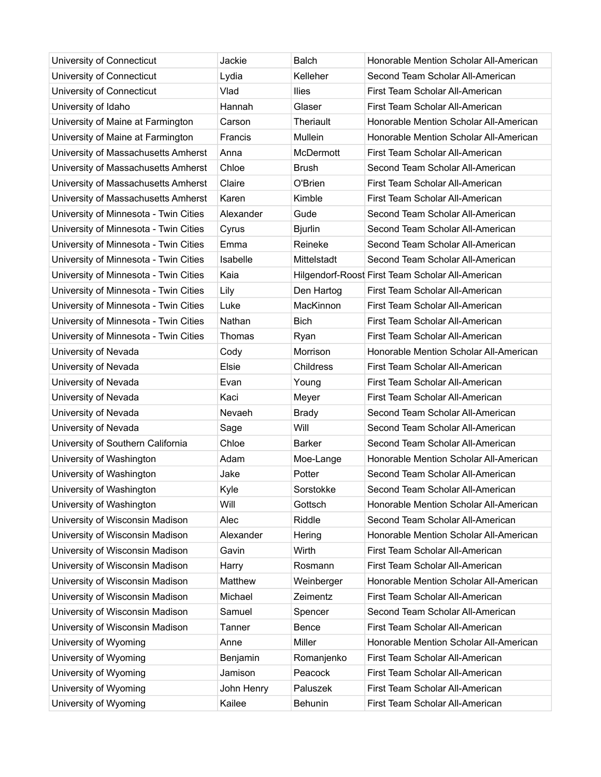| University of Connecticut             | Jackie     | <b>Balch</b>   | Honorable Mention Scholar All-American           |
|---------------------------------------|------------|----------------|--------------------------------------------------|
| University of Connecticut             | Lydia      | Kelleher       | Second Team Scholar All-American                 |
| University of Connecticut             | Vlad       | <b>Ilies</b>   | First Team Scholar All-American                  |
| University of Idaho                   | Hannah     | Glaser         | First Team Scholar All-American                  |
| University of Maine at Farmington     | Carson     | Theriault      | Honorable Mention Scholar All-American           |
| University of Maine at Farmington     | Francis    | Mullein        | Honorable Mention Scholar All-American           |
| University of Massachusetts Amherst   | Anna       | McDermott      | First Team Scholar All-American                  |
| University of Massachusetts Amherst   | Chloe      | <b>Brush</b>   | Second Team Scholar All-American                 |
| University of Massachusetts Amherst   | Claire     | O'Brien        | First Team Scholar All-American                  |
| University of Massachusetts Amherst   | Karen      | Kimble         | First Team Scholar All-American                  |
| University of Minnesota - Twin Cities | Alexander  | Gude           | Second Team Scholar All-American                 |
| University of Minnesota - Twin Cities | Cyrus      | <b>Bjurlin</b> | Second Team Scholar All-American                 |
| University of Minnesota - Twin Cities | Emma       | Reineke        | Second Team Scholar All-American                 |
| University of Minnesota - Twin Cities | Isabelle   | Mittelstadt    | Second Team Scholar All-American                 |
| University of Minnesota - Twin Cities | Kaia       |                | Hilgendorf-Roost First Team Scholar All-American |
| University of Minnesota - Twin Cities | Lily       | Den Hartog     | First Team Scholar All-American                  |
| University of Minnesota - Twin Cities | Luke       | MacKinnon      | First Team Scholar All-American                  |
| University of Minnesota - Twin Cities | Nathan     | <b>Bich</b>    | First Team Scholar All-American                  |
| University of Minnesota - Twin Cities | Thomas     | Ryan           | First Team Scholar All-American                  |
| University of Nevada                  | Cody       | Morrison       | Honorable Mention Scholar All-American           |
| University of Nevada                  | Elsie      | Childress      | First Team Scholar All-American                  |
| University of Nevada                  | Evan       | Young          | First Team Scholar All-American                  |
| University of Nevada                  | Kaci       | Meyer          | First Team Scholar All-American                  |
| University of Nevada                  | Nevaeh     | <b>Brady</b>   | Second Team Scholar All-American                 |
| University of Nevada                  | Sage       | Will           | Second Team Scholar All-American                 |
| University of Southern California     | Chloe      | <b>Barker</b>  | Second Team Scholar All-American                 |
| University of Washington              | Adam       | Moe-Lange      | Honorable Mention Scholar All-American           |
| University of Washington              | Jake       | Potter         | Second Team Scholar All-American                 |
| University of Washington              | Kyle       | Sorstokke      | Second Team Scholar All-American                 |
| University of Washington              | Will       | Gottsch        | Honorable Mention Scholar All-American           |
| University of Wisconsin Madison       | Alec       | Riddle         | Second Team Scholar All-American                 |
| University of Wisconsin Madison       | Alexander  | Hering         | Honorable Mention Scholar All-American           |
| University of Wisconsin Madison       | Gavin      | Wirth          | First Team Scholar All-American                  |
| University of Wisconsin Madison       | Harry      | Rosmann        | First Team Scholar All-American                  |
| University of Wisconsin Madison       | Matthew    | Weinberger     | Honorable Mention Scholar All-American           |
| University of Wisconsin Madison       | Michael    | Zeimentz       | First Team Scholar All-American                  |
| University of Wisconsin Madison       | Samuel     | Spencer        | Second Team Scholar All-American                 |
| University of Wisconsin Madison       | Tanner     | Bence          | First Team Scholar All-American                  |
| University of Wyoming                 | Anne       | Miller         | Honorable Mention Scholar All-American           |
| University of Wyoming                 | Benjamin   | Romanjenko     | First Team Scholar All-American                  |
| University of Wyoming                 | Jamison    | Peacock        | First Team Scholar All-American                  |
| University of Wyoming                 | John Henry | Paluszek       | First Team Scholar All-American                  |
| University of Wyoming                 | Kailee     | Behunin        | First Team Scholar All-American                  |